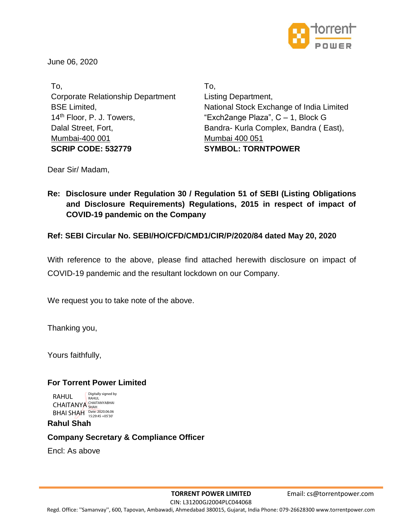

June 06, 2020

To, Corporate Relationship Department BSE Limited, 14<sup>th</sup> Floor, P. J. Towers, Dalal Street, Fort, Mumbai-400 001 **SCRIP CODE: 532779**

To, Listing Department, National Stock Exchange of India Limited "Exch2ange Plaza", C – 1, Block G Bandra- Kurla Complex, Bandra ( East), Mumbai 400 051 **SYMBOL: TORNTPOWER**

Dear Sir/ Madam,

**Re: Disclosure under Regulation 30 / Regulation 51 of SEBI (Listing Obligations and Disclosure Requirements) Regulations, 2015 in respect of impact of COVID-19 pandemic on the Company**

**Ref: SEBI Circular No. SEBI/HO/CFD/CMD1/CIR/P/2020/84 dated May 20, 2020**

With reference to the above, please find attached herewith disclosure on impact of COVID-19 pandemic and the resultant lockdown on our Company.

We request you to take note of the above.

Thanking you,

Yours faithfully,

# **For Torrent Power Limited**

RAHUL **CHAITANYA** BHAI SHAH Digitally signed by RAHUL<br>CHAITANYABHAI<br>SHAH<br>Date: 2020.06.06<br>15:29:45 +05'30'

# **Rahul Shah**

# **Company Secretary & Compliance Officer**

Encl: As above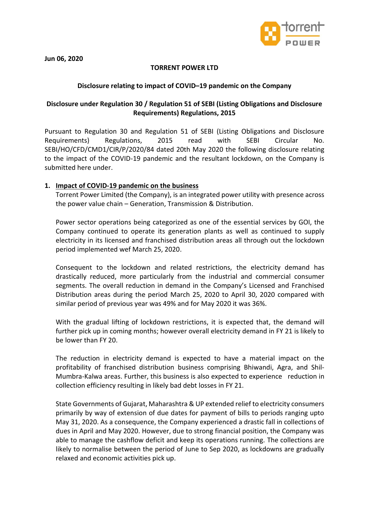

**Jun 06, 2020**

## **TORRENT POWER LTD**

#### **Disclosure relating to impact of COVID–19 pandemic on the Company**

# **Disclosure under Regulation 30 / Regulation 51 of SEBI (Listing Obligations and Disclosure Requirements) Regulations, 2015**

Pursuant to Regulation 30 and Regulation 51 of SEBI (Listing Obligations and Disclosure Requirements) Regulations, 2015 read with SEBI Circular No. SEBI/HO/CFD/CMD1/CIR/P/2020/84 dated 20th May 2020 the following disclosure relating to the impact of the COVID-19 pandemic and the resultant lockdown, on the Company is submitted here under.

#### **1. Impact of COVID-19 pandemic on the business**

Torrent Power Limited (the Company), is an integrated power utility with presence across the power value chain – Generation, Transmission & Distribution.

Power sector operations being categorized as one of the essential services by GOI, the Company continued to operate its generation plants as well as continued to supply electricity in its licensed and franchised distribution areas all through out the lockdown period implemented wef March 25, 2020.

Consequent to the lockdown and related restrictions, the electricity demand has drastically reduced, more particularly from the industrial and commercial consumer segments. The overall reduction in demand in the Company's Licensed and Franchised Distribution areas during the period March 25, 2020 to April 30, 2020 compared with similar period of previous year was 49% and for May 2020 it was 36%.

With the gradual lifting of lockdown restrictions, it is expected that, the demand will further pick up in coming months; however overall electricity demand in FY 21 is likely to be lower than FY 20.

The reduction in electricity demand is expected to have a material impact on the profitability of franchised distribution business comprising Bhiwandi, Agra, and Shil-Mumbra-Kalwa areas. Further, this business is also expected to experience reduction in collection efficiency resulting in likely bad debt losses in FY 21.

State Governments of Gujarat, Maharashtra & UP extended relief to electricity consumers primarily by way of extension of due dates for payment of bills to periods ranging upto May 31, 2020. As a consequence, the Company experienced a drastic fall in collections of dues in April and May 2020. However, due to strong financial position, the Company was able to manage the cashflow deficit and keep its operations running. The collections are likely to normalise between the period of June to Sep 2020, as lockdowns are gradually relaxed and economic activities pick up.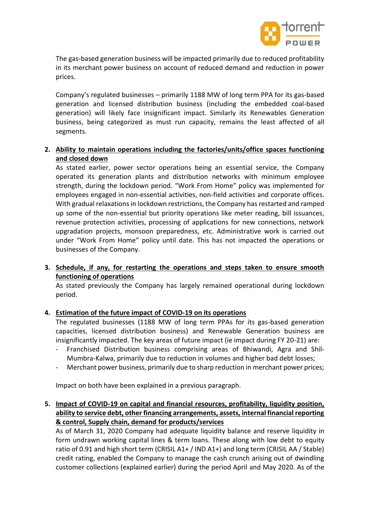

The gas-based generation business will be impacted primarily due to reduced profitability in its merchant power business on account of reduced demand and reduction in power prices.

Company's regulated businesses – primarily 1188 MW of long term PPA for its gas-based generation and licensed distribution business (including the embedded coal-based generation) will likely face insignificant impact. Similarly its Renewables Generation business, being categorized as must run capacity, remains the least affected of all segments.

# **2. Ability to maintain operations including the factories/units/office spaces functioning and closed down**

As stated earlier, power sector operations being an essential service, the Company operated its generation plants and distribution networks with minimum employee strength, during the lockdown period. "Work From Home" policy was implemented for employees engaged in non-essential activities, non-field activities and corporate offices. With gradual relaxations in lockdown restrictions, the Company has restarted and ramped up some of the non-essential but priority operations like meter reading, bill issuances, revenue protection activities, processing of applications for new connections, network upgradation projects, monsoon preparedness, etc. Administrative work is carried out under "Work From Home" policy until date. This has not impacted the operations or businesses of the Company.

**3. Schedule, if any, for restarting the operations and steps taken to ensure smooth functioning of operations**

As stated previously the Company has largely remained operational during lockdown period.

# **4. Estimation of the future impact of COVID-19 on its operations**

The regulated businesses (1188 MW of long term PPAs for its gas-based generation capacities, licensed distribution business) and Renewable Generation business are insignificantly impacted. The key areas of future impact (ie impact during FY 20-21) are:

- Franchised Distribution business comprising areas of Bhiwandi, Agra and Shil-Mumbra-Kalwa, primarily due to reduction in volumes and higher bad debt losses;
- Merchant power business, primarily due to sharp reduction in merchant power prices;

Impact on both have been explained in a previous paragraph.

**5. Impact of COVID-19 on capital and financial resources, profitability, liquidity position, ability to service debt, other financing arrangements, assets, internal financial reporting & control, Supply chain, demand for products/services**

As of March 31, 2020 Company had adequate liquidity balance and reserve liquidity in form undrawn working capital lines & term loans. These along with low debt to equity ratio of 0.91 and high short term (CRISIL A1+ / IND A1+) and long term (CRISIL AA / Stable) credit rating, enabled the Company to manage the cash crunch arising out of dwindling customer collections (explained earlier) during the period April and May 2020. As of the